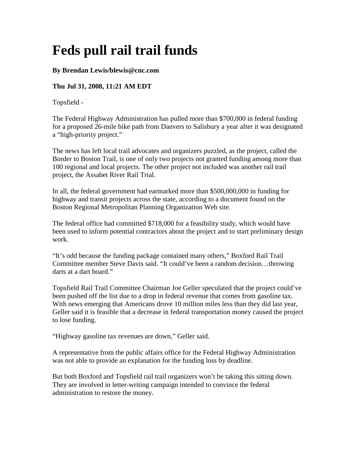## **Feds pull rail trail funds**

## **By Brendan Lewis/blewis@cnc.com**

## **Thu Jul 31, 2008, 11:21 AM EDT**

Topsfield -

The Federal Highway Administration has pulled more than \$700,000 in federal funding for a proposed 26-mile bike path from Danvers to Salisbury a year after it was designated a "high-priority project."

The news has left local trail advocates and organizers puzzled, as the project, called the Border to Boston Trail, is one of only two projects not granted funding among more than 100 regional and local projects. The other project not included was another rail trail project, the Assabet River Rail Trial.

In all, the federal government had earmarked more than \$500,000,000 in funding for highway and transit projects across the state, according to a document found on the Boston Regional Metropolitan Planning Organization Web site.

The federal office had committed \$718,000 for a feasibility study, which would have been used to inform potential contractors about the project and to start preliminary design work.

"It's odd because the funding package contained many others," Boxford Rail Trail Committee member Steve Davis said. "It could've been a random decision…throwing darts at a dart board."

Topsfield Rail Trail Committee Chairman Joe Geller speculated that the project could've been pushed off the list due to a drop in federal revenue that comes from gasoline tax. With news emerging that Americans drove 10 million miles less than they did last year, Geller said it is feasible that a decrease in federal transportation money caused the project to lose funding.

"Highway gasoline tax revenues are down," Geller said.

A representative from the public affairs office for the Federal Highway Administration was not able to provide an explanation for the funding loss by deadline.

But both Boxford and Topsfield rail trail organizers won't be taking this sitting down. They are involved in letter-writing campaign intended to convince the federal administration to restore the money.